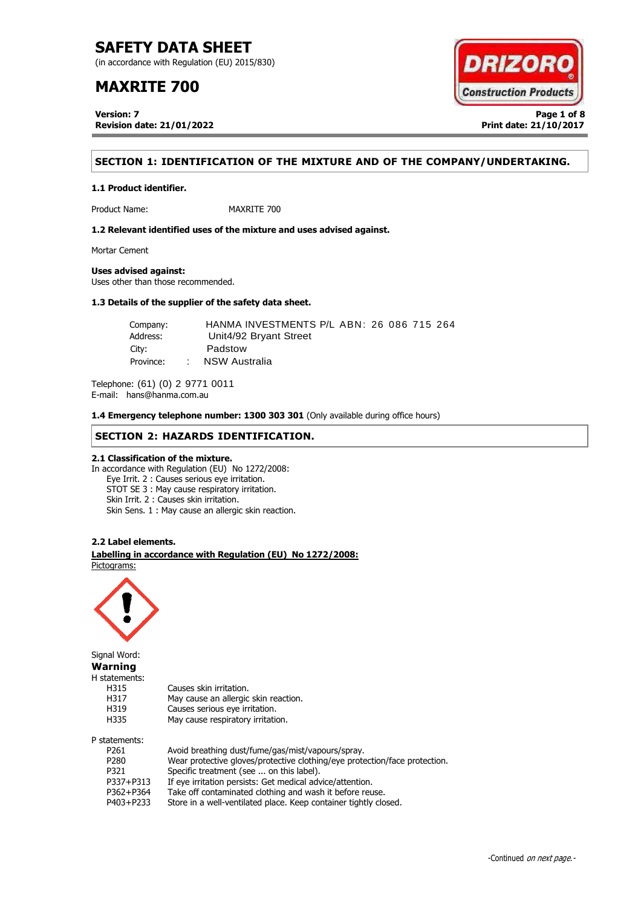(in accordance with Regulation (EU) 2015/830)

# **MAXRITE 700**

**Version: 7 Page 1 of 8 Revision date: 21/01/2022 Print date: 21/10/2017**



# **SECTION 1: IDENTIFICATION OF THE MIXTURE AND OF THE COMPANY/UNDERTAKING.**

**1.1 Product identifier.**

Product Name: MAXRITE 700

**1.2 Relevant identified uses of the mixture and uses advised against.**

Mortar Cement

**Uses advised against:**

Uses other than those recommended.

# **1.3 Details of the supplier of the safety data sheet.**

Company: HANMA INVESTMENTS P/L ABN: 26 086 715 264 Address: Unit4/92 Bryant Street City: Padstow Province: : NSW Australia

Telephone: (61) (0) 2 9771 0011 E-mail: hans@hanma.com.au

**1.4 Emergency telephone number: 1300 303 301** (Only available during office hours)

# **SECTION 2: HAZARDS IDENTIFICATION.**

## **2.1 Classification of the mixture.**

In accordance with Regulation (EU) No 1272/2008: Eye Irrit. 2 : Causes serious eye irritation. STOT SE 3 : May cause respiratory irritation. Skin Irrit. 2 : Causes skin irritation. Skin Sens. 1 : May cause an allergic skin reaction.

## **2.2 Label elements.**

. **Labelling in accordance with Regulation (EU) No 1272/2008:** Pictograms:

May cause an allergic skin reaction.



Signal Word: **Warning** H statements: H315 Causes skin irritation.<br>H317 May cause an allergic H319 Causes serious eye irritation. H335 May cause respiratory irritation. P statements:

| P261      | Avoid breathing dust/fume/gas/mist/vapours/spray.                          |
|-----------|----------------------------------------------------------------------------|
| P280      | Wear protective gloves/protective clothing/eye protection/face protection. |
| P321      | Specific treatment (see  on this label).                                   |
| P337+P313 | If eye irritation persists: Get medical advice/attention.                  |
| P362+P364 | Take off contaminated clothing and wash it before reuse.                   |
| P403+P233 | Store in a well-ventilated place. Keep container tightly closed.           |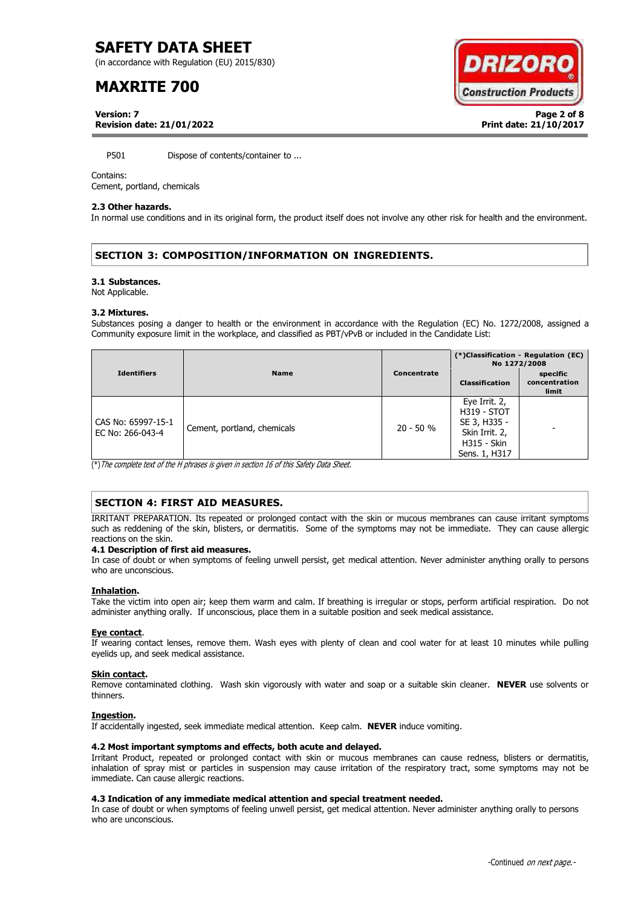(in accordance with Regulation (EU) 2015/830)

# **MAXRITE 700**



**Version: 7 Page 2 of 8 Revision date: 21/01/2022 Print date: 21/10/2017**

P501 Dispose of contents/container to ...

## Contains:

Cement, portland, chemicals

## **2.3 Other hazards.**

In normal use conditions and in its original form, the product itself does not involve any other risk for health and the environment.

# **SECTION 3: COMPOSITION/INFORMATION ON INGREDIENTS.**

## **3.1 Substances.**

Not Applicable.

## **3.2 Mixtures.**

Substances posing a danger to health or the environment in accordance with the Regulation (EC) No. 1272/2008, assigned a Community exposure limit in the workplace, and classified as PBT/vPvB or included in the Candidate List:

|                                        |                             |             | (*)Classification - Regulation (EC)<br>No 1272/2008                                                          |                                    |
|----------------------------------------|-----------------------------|-------------|--------------------------------------------------------------------------------------------------------------|------------------------------------|
| <b>Identifiers</b>                     | <b>Name</b>                 | Concentrate | <b>Classification</b>                                                                                        | specific<br>concentration<br>limit |
| CAS No: 65997-15-1<br>EC No: 266-043-4 | Cement, portland, chemicals | $20 - 50 %$ | Eye Irrit. 2,<br><b>H319 - STOT</b><br>SE 3, H335 -<br>Skin Irrit. 2,<br><b>H315 - Skin</b><br>Sens. 1, H317 |                                    |

(\*)The complete text of the H phrases is given in section 16 of this Safety Data Sheet.

# **SECTION 4: FIRST AID MEASURES.**

IRRITANT PREPARATION. Its repeated or prolonged contact with the skin or mucous membranes can cause irritant symptoms such as reddening of the skin, blisters, or dermatitis. Some of the symptoms may not be immediate. They can cause allergic reactions on the skin.

## **4.1 Description of first aid measures.**

In case of doubt or when symptoms of feeling unwell persist, get medical attention. Never administer anything orally to persons who are unconscious.

## **Inhalation.**

Take the victim into open air; keep them warm and calm. If breathing is irregular or stops, perform artificial respiration. Do not administer anything orally. If unconscious, place them in a suitable position and seek medical assistance.

## **Eye contact**.

If wearing contact lenses, remove them. Wash eyes with plenty of clean and cool water for at least 10 minutes while pulling eyelids up, and seek medical assistance.

## **Skin contact.**

Remove contaminated clothing. Wash skin vigorously with water and soap or a suitable skin cleaner. **NEVER** use solvents or thinners.

## **Ingestion.**

If accidentally ingested, seek immediate medical attention. Keep calm. **NEVER** induce vomiting.

## **4.2 Most important symptoms and effects, both acute and delayed.**

Irritant Product, repeated or prolonged contact with skin or mucous membranes can cause redness, blisters or dermatitis, inhalation of spray mist or particles in suspension may cause irritation of the respiratory tract, some symptoms may not be immediate. Can cause allergic reactions.

## **4.3 Indication of any immediate medical attention and special treatment needed.**

In case of doubt or when symptoms of feeling unwell persist, get medical attention. Never administer anything orally to persons who are unconscious.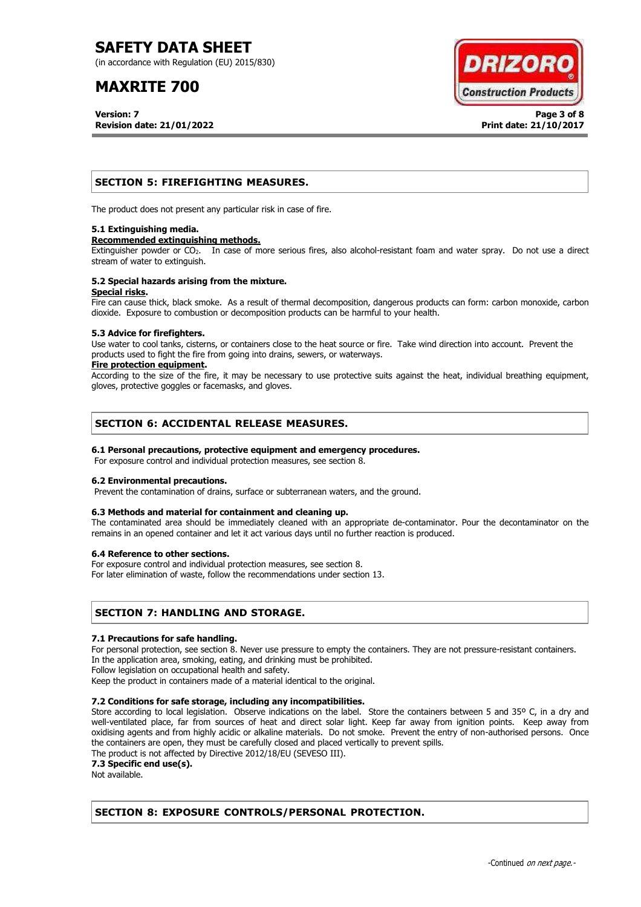(in accordance with Regulation (EU) 2015/830)

# **MAXRITE 700**

**Version: 7 Page 3 of 8 Revision date: 21/01/2022 Print date: 21/10/2017**



# **SECTION 5: FIREFIGHTING MEASURES.**

The product does not present any particular risk in case of fire.

## **5.1 Extinguishing media.**

## **Recommended extinguishing methods.**

Extinguisher powder or CO<sub>2</sub>. In case of more serious fires, also alcohol-resistant foam and water spray. Do not use a direct stream of water to extinguish.

## **5.2 Special hazards arising from the mixture. Special risks.**

Fire can cause thick, black smoke. As a result of thermal decomposition, dangerous products can form: carbon monoxide, carbon dioxide. Exposure to combustion or decomposition products can be harmful to your health.

## **5.3 Advice for firefighters.**

Use water to cool tanks, cisterns, or containers close to the heat source or fire. Take wind direction into account. Prevent the products used to fight the fire from going into drains, sewers, or waterways.

## **Fire protection equipment.**

According to the size of the fire, it may be necessary to use protective suits against the heat, individual breathing equipment, gloves, protective goggles or facemasks, and gloves.

# **SECTION 6: ACCIDENTAL RELEASE MEASURES.**

## **6.1 Personal precautions, protective equipment and emergency procedures.**

For exposure control and individual protection measures, see section 8.

## **6.2 Environmental precautions.**

Prevent the contamination of drains, surface or subterranean waters, and the ground.

## **6.3 Methods and material for containment and cleaning up.**

The contaminated area should be immediately cleaned with an appropriate de-contaminator. Pour the decontaminator on the remains in an opened container and let it act various days until no further reaction is produced.

## **6.4 Reference to other sections.**

For exposure control and individual protection measures, see section 8.

For later elimination of waste, follow the recommendations under section 13.

# **SECTION 7: HANDLING AND STORAGE.**

## **7.1 Precautions for safe handling.**

For personal protection, see section 8. Never use pressure to empty the containers. They are not pressure-resistant containers. In the application area, smoking, eating, and drinking must be prohibited.

Follow legislation on occupational health and safety.

Keep the product in containers made of a material identical to the original.

## **7.2 Conditions for safe storage, including any incompatibilities.**

Store according to local legislation. Observe indications on the label. Store the containers between 5 and 35° C, in a dry and well-ventilated place, far from sources of heat and direct solar light. Keep far away from ignition points. Keep away from oxidising agents and from highly acidic or alkaline materials. Do not smoke. Prevent the entry of non-authorised persons. Once the containers are open, they must be carefully closed and placed vertically to prevent spills.

The product is not affected by Directive 2012/18/EU (SEVESO III).

**7.3 Specific end use(s).**

Not available.

# **SECTION 8: EXPOSURE CONTROLS/PERSONAL PROTECTION.**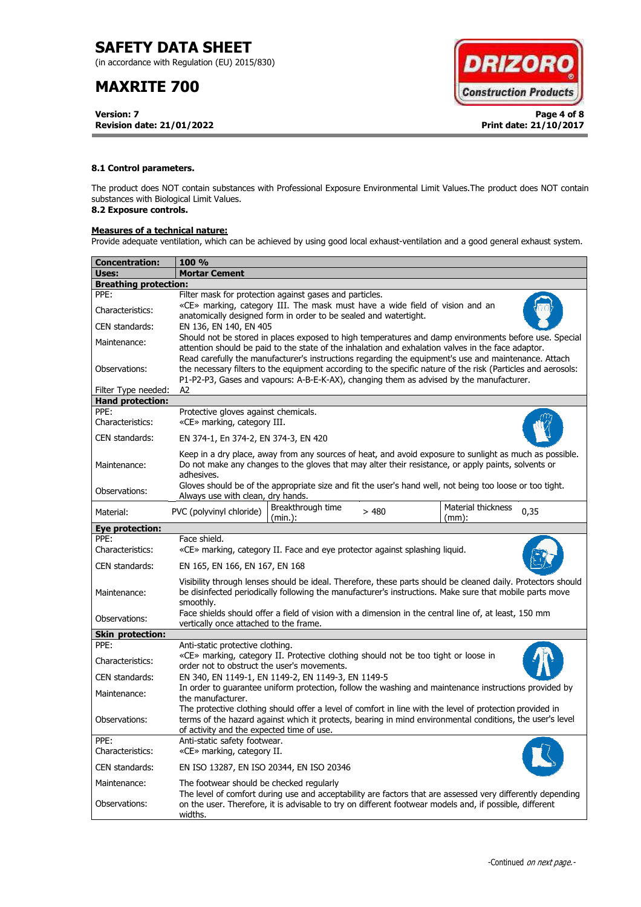(in accordance with Regulation (EU) 2015/830)

# **MAXRITE 700**

**Version: 7 Page 4 of 8 Revision date: 21/01/2022 Print date: 21/10/2017**



## **8.1 Control parameters.**

The product does NOT contain substances with Professional Exposure Environmental Limit Values.The product does NOT contain substances with Biological Limit Values.

# **8.2 Exposure controls.**

# **Measures of a technical nature:**

Provide adequate ventilation, which can be achieved by using good local exhaust-ventilation and a good general exhaust system.

| Concentration:               | <b>100 %</b>                                                                                                                                                                                                                                                                                                        |  |  |  |  |
|------------------------------|---------------------------------------------------------------------------------------------------------------------------------------------------------------------------------------------------------------------------------------------------------------------------------------------------------------------|--|--|--|--|
| Uses:                        | <b>Mortar Cement</b>                                                                                                                                                                                                                                                                                                |  |  |  |  |
| <b>Breathing protection:</b> |                                                                                                                                                                                                                                                                                                                     |  |  |  |  |
| PPE:                         | Filter mask for protection against gases and particles.                                                                                                                                                                                                                                                             |  |  |  |  |
| Characteristics:             | «CE» marking, category III. The mask must have a wide field of vision and an<br>anatomically designed form in order to be sealed and watertight.                                                                                                                                                                    |  |  |  |  |
| CEN standards:               | EN 136, EN 140, EN 405                                                                                                                                                                                                                                                                                              |  |  |  |  |
| Maintenance:                 | Should not be stored in places exposed to high temperatures and damp environments before use. Special<br>attention should be paid to the state of the inhalation and exhalation valves in the face adaptor.<br>Read carefully the manufacturer's instructions regarding the equipment's use and maintenance. Attach |  |  |  |  |
| Observations:                | the necessary filters to the equipment according to the specific nature of the risk (Particles and aerosols:<br>P1-P2-P3, Gases and vapours: A-B-E-K-AX), changing them as advised by the manufacturer.                                                                                                             |  |  |  |  |
| Filter Type needed:          | A2                                                                                                                                                                                                                                                                                                                  |  |  |  |  |
| <b>Hand protection:</b>      |                                                                                                                                                                                                                                                                                                                     |  |  |  |  |
| PPE:<br>Characteristics:     | Protective gloves against chemicals.<br>«CE» marking, category III.                                                                                                                                                                                                                                                 |  |  |  |  |
| CEN standards:               | EN 374-1, En 374-2, EN 374-3, EN 420                                                                                                                                                                                                                                                                                |  |  |  |  |
| Maintenance:                 | Keep in a dry place, away from any sources of heat, and avoid exposure to sunlight as much as possible.<br>Do not make any changes to the gloves that may alter their resistance, or apply paints, solvents or<br>adhesives.                                                                                        |  |  |  |  |
| Observations:                | Gloves should be of the appropriate size and fit the user's hand well, not being too loose or too tight.<br>Always use with clean, dry hands.                                                                                                                                                                       |  |  |  |  |
| Material:                    | Material thickness<br>Breakthrough time<br>PVC (polyvinyl chloride)<br>>480<br>0,35<br>(min.):<br>$(mm)$ :                                                                                                                                                                                                          |  |  |  |  |
| <b>Eye protection:</b>       |                                                                                                                                                                                                                                                                                                                     |  |  |  |  |
| PPE:<br>Characteristics:     | Face shield.<br>«CE» marking, category II. Face and eye protector against splashing liquid.                                                                                                                                                                                                                         |  |  |  |  |
| CEN standards:               | EN 165, EN 166, EN 167, EN 168                                                                                                                                                                                                                                                                                      |  |  |  |  |
| Maintenance:                 | Visibility through lenses should be ideal. Therefore, these parts should be cleaned daily. Protectors should<br>be disinfected periodically following the manufacturer's instructions. Make sure that mobile parts move<br>smoothly.                                                                                |  |  |  |  |
| Observations:                | Face shields should offer a field of vision with a dimension in the central line of, at least, 150 mm<br>vertically once attached to the frame.                                                                                                                                                                     |  |  |  |  |
| <b>Skin protection:</b>      |                                                                                                                                                                                                                                                                                                                     |  |  |  |  |
| PPE:                         | Anti-static protective clothing.                                                                                                                                                                                                                                                                                    |  |  |  |  |
| Characteristics:             | «CE» marking, category II. Protective clothing should not be too tight or loose in<br>order not to obstruct the user's movements.                                                                                                                                                                                   |  |  |  |  |
| CEN standards:               | EN 340, EN 1149-1, EN 1149-2, EN 1149-3, EN 1149-5                                                                                                                                                                                                                                                                  |  |  |  |  |
| Maintenance:                 | In order to guarantee uniform protection, follow the washing and maintenance instructions provided by<br>the manufacturer.                                                                                                                                                                                          |  |  |  |  |
| Observations:                | The protective clothing should offer a level of comfort in line with the level of protection provided in<br>terms of the hazard against which it protects, bearing in mind environmental conditions, the user's level<br>of activity and the expected time of use.                                                  |  |  |  |  |
| PPE:<br>Characteristics:     | Anti-static safety footwear.<br>«CE» marking, category II.                                                                                                                                                                                                                                                          |  |  |  |  |
| CEN standards:               | EN ISO 13287, EN ISO 20344, EN ISO 20346                                                                                                                                                                                                                                                                            |  |  |  |  |
| Maintenance:                 | The footwear should be checked regularly<br>The level of comfort during use and acceptability are factors that are assessed very differently depending                                                                                                                                                              |  |  |  |  |
| Observations:                | on the user. Therefore, it is advisable to try on different footwear models and, if possible, different<br>widths.                                                                                                                                                                                                  |  |  |  |  |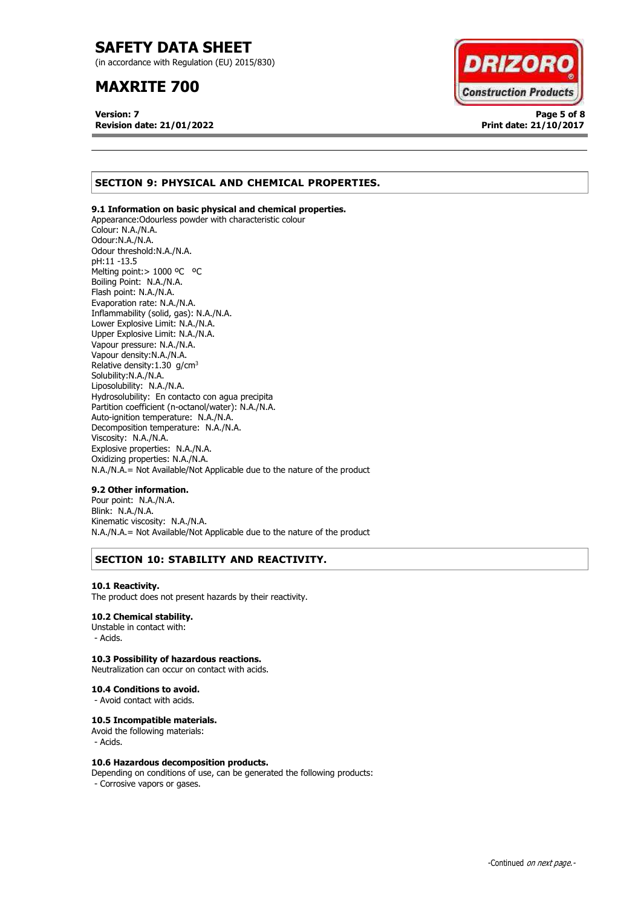(in accordance with Regulation (EU) 2015/830)

# **MAXRITE 700**

**Version: 7 Page 5 of 8 Revision date: 21/01/2022 Print date: 21/10/2017**



# **SECTION 9: PHYSICAL AND CHEMICAL PROPERTIES.**

## **9.1 Information on basic physical and chemical properties.**

Appearance:Odourless powder with characteristic colour Colour: N.A./N.A. Odour:N.A./N.A. Odour threshold:N.A./N.A. pH:11 -13.5 Melting point:> 1000 ºC ºC Boiling Point: N.A./N.A. Flash point: N.A./N.A. Evaporation rate: N.A./N.A. Inflammability (solid, gas): N.A./N.A. Lower Explosive Limit: N.A./N.A. Upper Explosive Limit: N.A./N.A. Vapour pressure: N.A./N.A. Vapour density:N.A./N.A. Relative density:  $1.30$  g/cm<sup>3</sup> Solubility:N.A./N.A. Liposolubility: N.A./N.A. Hydrosolubility: En contacto con agua precipita Partition coefficient (n-octanol/water): N.A./N.A. Auto-ignition temperature: N.A./N.A. Decomposition temperature: N.A./N.A. Viscosity: N.A./N.A. Explosive properties: N.A./N.A. Oxidizing properties: N.A./N.A. N.A./N.A.= Not Available/Not Applicable due to the nature of the product

## **9.2 Other information.**

Pour point: N.A./N.A. Blink: N.A./N.A. Kinematic viscosity: N.A./N.A. N.A./N.A.= Not Available/Not Applicable due to the nature of the product

# **SECTION 10: STABILITY AND REACTIVITY.**

#### **10.1 Reactivity.**

The product does not present hazards by their reactivity.

## **10.2 Chemical stability.**

Unstable in contact with: - Acids.

## **10.3 Possibility of hazardous reactions.**

Neutralization can occur on contact with acids.

#### **10.4 Conditions to avoid.**

- Avoid contact with acids.

## **10.5 Incompatible materials.**

Avoid the following materials: - Acids.

## **10.6 Hazardous decomposition products.**

Depending on conditions of use, can be generated the following products: - Corrosive vapors or gases.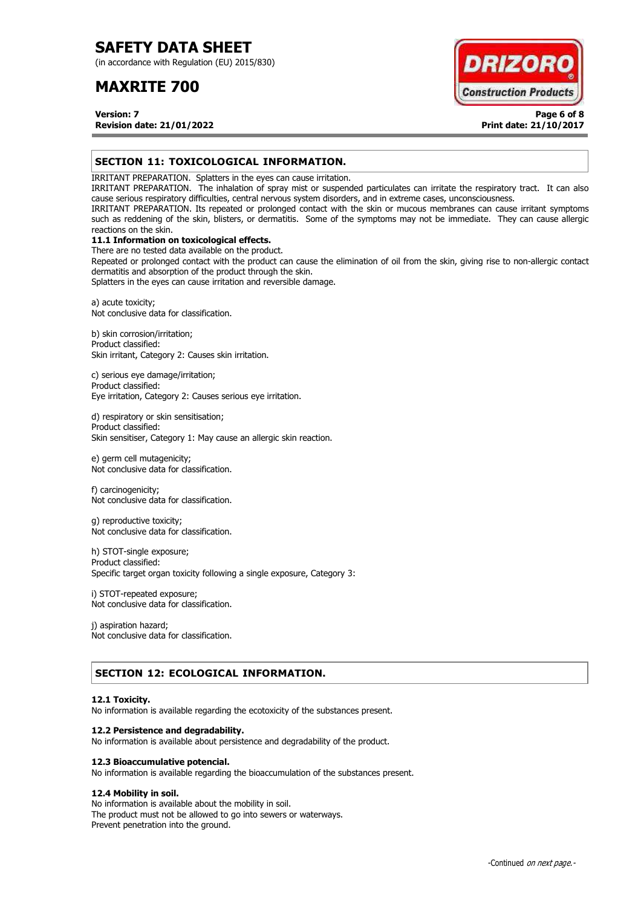(in accordance with Regulation (EU) 2015/830)

# **MAXRITE 700**



**Version: 7 Page 6 of 8 Revision date: 21/01/2022 Print date: 21/10/2017**

# **SECTION 11: TOXICOLOGICAL INFORMATION.**

IRRITANT PREPARATION. Splatters in the eyes can cause irritation.

IRRITANT PREPARATION. The inhalation of spray mist or suspended particulates can irritate the respiratory tract. It can also cause serious respiratory difficulties, central nervous system disorders, and in extreme cases, unconsciousness.

IRRITANT PREPARATION. Its repeated or prolonged contact with the skin or mucous membranes can cause irritant symptoms such as reddening of the skin, blisters, or dermatitis. Some of the symptoms may not be immediate. They can cause allergic reactions on the skin.

# **11.1 Information on toxicological effects.**

There are no tested data available on the product. Repeated or prolonged contact with the product can cause the elimination of oil from the skin, giving rise to non-allergic contact dermatitis and absorption of the product through the skin.

Splatters in the eyes can cause irritation and reversible damage.

a) acute toxicity; Not conclusive data for classification.

b) skin corrosion/irritation; Product classified: Skin irritant, Category 2: Causes skin irritation.

c) serious eye damage/irritation; Product classified: Eye irritation, Category 2: Causes serious eye irritation.

d) respiratory or skin sensitisation; Product classified: Skin sensitiser, Category 1: May cause an allergic skin reaction.

e) germ cell mutagenicity; Not conclusive data for classification.

f) carcinogenicity; Not conclusive data for classification.

g) reproductive toxicity; Not conclusive data for classification.

h) STOT-single exposure; Product classified: Specific target organ toxicity following a single exposure, Category 3:

i) STOT-repeated exposure; Not conclusive data for classification.

j) aspiration hazard; Not conclusive data for classification.

# **SECTION 12: ECOLOGICAL INFORMATION.**

## **12.1 Toxicity.**

No information is available regarding the ecotoxicity of the substances present.

## **12.2 Persistence and degradability.**

No information is available about persistence and degradability of the product.

## **12.3 Bioaccumulative potencial.**

No information is available regarding the bioaccumulation of the substances present.

# **12.4 Mobility in soil.**

No information is available about the mobility in soil. The product must not be allowed to go into sewers or waterways. Prevent penetration into the ground.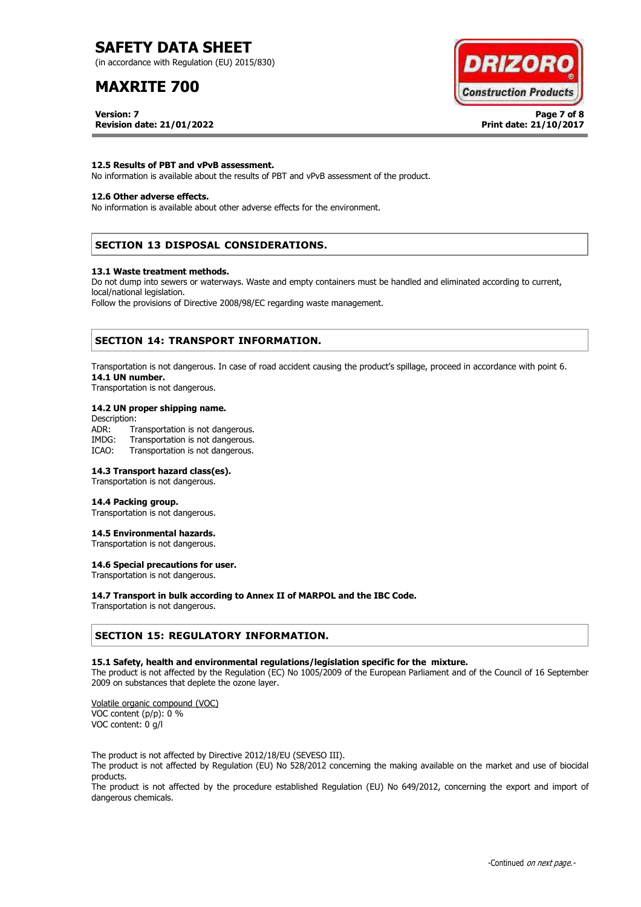(in accordance with Regulation (EU) 2015/830)

# **MAXRITE 700**



**Version: 7 Page 7 of 8 Revision date: 21/01/2022 Print date: 21/10/2017**

## **12.5 Results of PBT and vPvB assessment.**

No information is available about the results of PBT and vPvB assessment of the product.

## **12.6 Other adverse effects.**

No information is available about other adverse effects for the environment.

# **SECTION 13 DISPOSAL CONSIDERATIONS.**

#### **13.1 Waste treatment methods.**

Do not dump into sewers or waterways. Waste and empty containers must be handled and eliminated according to current, local/national legislation.

Follow the provisions of Directive 2008/98/EC regarding waste management.

# **SECTION 14: TRANSPORT INFORMATION.**

Transportation is not dangerous. In case of road accident causing the product's spillage, proceed in accordance with point 6. **14.1 UN number.**

Transportation is not dangerous.

## **14.2 UN proper shipping name.**

Description: ADR: Transportation is not dangerous.<br>IMDG: Transportation is not dangerous. Transportation is not dangerous. ICAO: Transportation is not dangerous.

## **14.3 Transport hazard class(es).**

Transportation is not dangerous.

## **14.4 Packing group.**

Transportation is not dangerous.

## **14.5 Environmental hazards.**

Transportation is not dangerous.

# **14.6 Special precautions for user.**

Transportation is not dangerous.

## **14.7 Transport in bulk according to Annex II of MARPOL and the IBC Code.**

Transportation is not dangerous.

## **SECTION 15: REGULATORY INFORMATION.**

## **15.1 Safety, health and environmental regulations/legislation specific for the mixture.**

The product is not affected by the Regulation (EC) No 1005/2009 of the European Parliament and of the Council of 16 September 2009 on substances that deplete the ozone layer.

Volatile organic compound (VOC) VOC content (p/p): 0 % VOC content: 0 g/l

The product is not affected by Directive 2012/18/EU (SEVESO III).

The product is not affected by Regulation (EU) No 528/2012 concerning the making available on the market and use of biocidal products.

The product is not affected by the procedure established Regulation (EU) No 649/2012, concerning the export and import of dangerous chemicals.